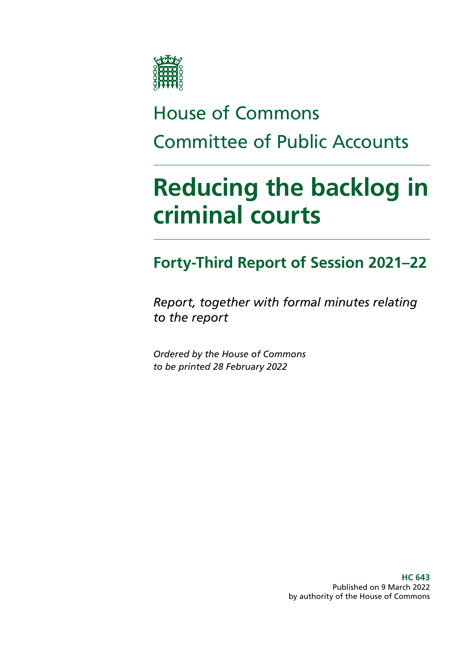

# House of Commons Committee of Public Accounts

# **Reducing the backlog in criminal courts**

## **Forty-Third Report of Session 2021–22**

*Report, together with formal minutes relating to the report*

*Ordered by the House of Commons to be printed 28 February 2022*

> **HC 643** Published on 9 March 2022 by authority of the House of Commons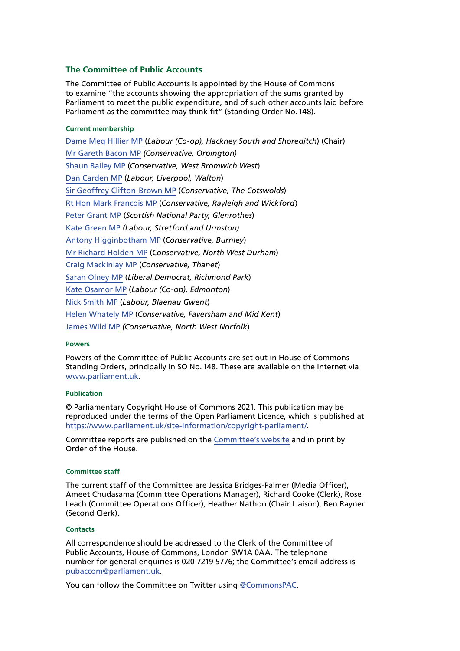#### **The Committee of Public Accounts**

The Committee of Public Accounts is appointed by the House of Commons to examine "the accounts showing the appropriation of the sums granted by Parliament to meet the public expenditure, and of such other accounts laid before Parliament as the committee may think fit" (Standing Order No.148).

#### **Current membership**

[Dame Meg Hillier MP](https://www.parliament.uk/biographies/commons/meg-hillier/1524) (*Labour (Co-op), Hackney South and Shoreditch*) (Chair) [Mr Gareth Bacon MP](https://members.parliament.uk/member/4798/contact) *(Conservative, Orpington)* [Shaun Bailey MP](https://members.parliament.uk/member/4757/contact) (*Conservative, West Bromwich West*) [Dan Carden MP](https://members.parliament.uk/member/4651/contact) (*Labour, Liverpool, Walton*) [Sir Geoffrey Clifton-Brown MP](https://www.parliament.uk/biographies/commons/geoffrey-clifton-brown/249) (*Conservative, The Cotswolds*) [Rt Hon Mark Francois MP](https://members.parliament.uk/member/1444/contact) (*Conservative, Rayleigh and Wickford*) [Peter Grant MP](https://members.parliament.uk/member/4466/contact) (*Scottish National Party, Glenrothes*) [Kate Green MP](https://members.parliament.uk/member/4120/contact) *(Labour, Stretford and Urmston)* [Antony Higginbotham MP](https://members.parliament.uk/member/4833/contact) (*Conservative, Burnley*) [Mr Richard Holden MP](https://members.parliament.uk/member/4813/contact) (*Conservative, North West Durham*) [Craig Mackinlay MP](https://members.parliament.uk/member/4529/contact) (*Conservative, Thanet*) [Sarah Olney MP](https://members.parliament.uk/member/4591/contact) (*Liberal Democrat, Richmond Park*) [Kate Osamor MP](https://members.parliament.uk/member/4515/contact) (*Labour (Co-op), Edmonton*) [Nick Smith MP](https://members.parliament.uk/member/3928/contact) (*Labour, Blaenau Gwent*) [Helen Whately MP](https://members.parliament.uk/member/4527/contact) (*Conservative, Faversham and Mid Kent*) [James Wild MP](https://members.parliament.uk/member/4787/contact) *(Conservative, North West Norfolk*)

#### **Powers**

Powers of the Committee of Public Accounts are set out in House of Commons Standing Orders, principally in SO No.148. These are available on the Internet via [www.parliament.uk](http://www.parliament.uk).

#### **Publication**

© Parliamentary Copyright House of Commons 2021. This publication may be reproduced under the terms of the Open Parliament Licence, which is published at [https://www.parliament.uk/site-information/copyright-parliament/.](https://www.parliament.uk/site-information/copyright-parliament/)

Committee reports are published on the [Committee's website](https://committees.parliament.uk/committee/127/public-accounts-committee/) and in print by Order of the House.

#### **Committee staff**

The current staff of the Committee are Jessica Bridges-Palmer (Media Officer), Ameet Chudasama (Committee Operations Manager), Richard Cooke (Clerk), Rose Leach (Committee Operations Officer), Heather Nathoo (Chair Liaison), Ben Rayner (Second Clerk).

#### **Contacts**

All correspondence should be addressed to the Clerk of the Committee of Public Accounts, House of Commons, London SW1A 0AA. The telephone number for general enquiries is 020 7219 5776; the Committee's email address is [pubaccom@parliament.uk.](mailto:pubaccom%40parliament.uk?subject=)

You can follow the Committee on Twitter using [@CommonsPAC.](https://twitter.com/commonspac)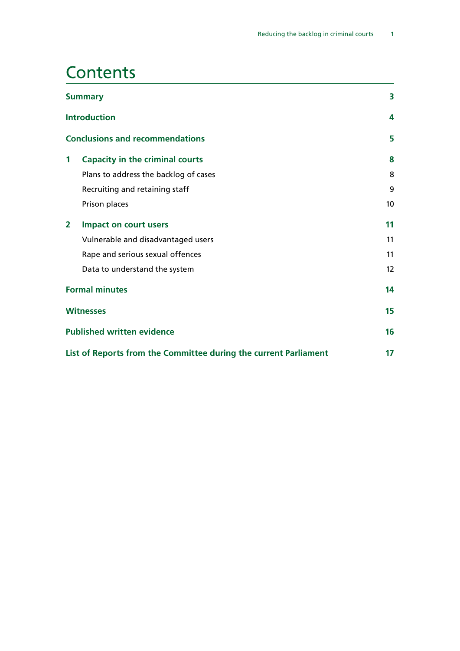## **Contents**

| <b>Summary</b> |                                                                  | 3  |
|----------------|------------------------------------------------------------------|----|
|                | <b>Introduction</b>                                              | 4  |
|                | <b>Conclusions and recommendations</b>                           | 5  |
| 1              | <b>Capacity in the criminal courts</b>                           | 8  |
|                | Plans to address the backlog of cases                            | 8  |
|                | Recruiting and retaining staff                                   | 9  |
|                | Prison places                                                    | 10 |
| $\overline{2}$ | <b>Impact on court users</b>                                     | 11 |
|                | Vulnerable and disadvantaged users                               | 11 |
|                | Rape and serious sexual offences                                 | 11 |
|                | Data to understand the system                                    | 12 |
|                | <b>Formal minutes</b>                                            | 14 |
|                | <b>Witnesses</b>                                                 | 15 |
|                | <b>Published written evidence</b>                                | 16 |
|                | List of Reports from the Committee during the current Parliament | 17 |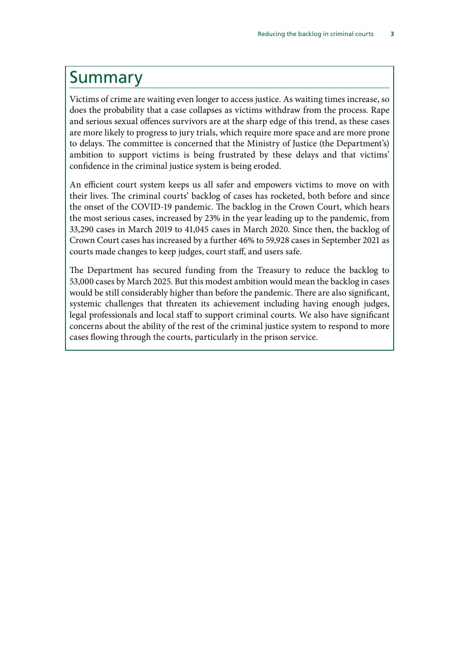### <span id="page-4-0"></span>Summary

Victims of crime are waiting even longer to access justice. As waiting times increase, so does the probability that a case collapses as victims withdraw from the process. Rape and serious sexual offences survivors are at the sharp edge of this trend, as these cases are more likely to progress to jury trials, which require more space and are more prone to delays. The committee is concerned that the Ministry of Justice (the Department's) ambition to support victims is being frustrated by these delays and that victims' confidence in the criminal justice system is being eroded.

An efficient court system keeps us all safer and empowers victims to move on with their lives. The criminal courts' backlog of cases has rocketed, both before and since the onset of the COVID-19 pandemic. The backlog in the Crown Court, which hears the most serious cases, increased by 23% in the year leading up to the pandemic, from 33,290 cases in March 2019 to 41,045 cases in March 2020. Since then, the backlog of Crown Court cases has increased by a further 46% to 59,928 cases in September 2021 as courts made changes to keep judges, court staff, and users safe.

The Department has secured funding from the Treasury to reduce the backlog to 53,000 cases by March 2025. But this modest ambition would mean the backlog in cases would be still considerably higher than before the pandemic. There are also significant, systemic challenges that threaten its achievement including having enough judges, legal professionals and local staff to support criminal courts. We also have significant concerns about the ability of the rest of the criminal justice system to respond to more cases flowing through the courts, particularly in the prison service.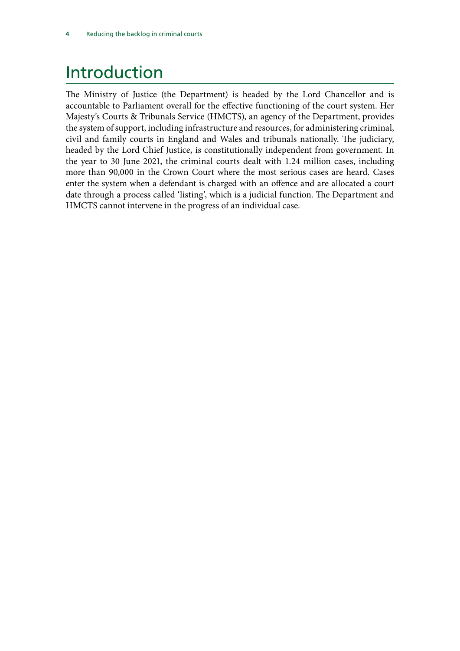## <span id="page-5-0"></span>Introduction

The Ministry of Justice (the Department) is headed by the Lord Chancellor and is accountable to Parliament overall for the effective functioning of the court system. Her Majesty's Courts & Tribunals Service (HMCTS), an agency of the Department, provides the system of support, including infrastructure and resources, for administering criminal, civil and family courts in England and Wales and tribunals nationally. The judiciary, headed by the Lord Chief Justice, is constitutionally independent from government. In the year to 30 June 2021, the criminal courts dealt with 1.24 million cases, including more than 90,000 in the Crown Court where the most serious cases are heard. Cases enter the system when a defendant is charged with an offence and are allocated a court date through a process called 'listing', which is a judicial function. The Department and HMCTS cannot intervene in the progress of an individual case.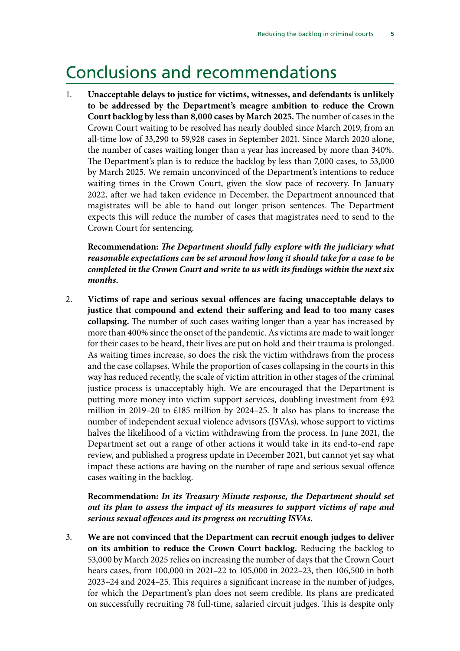### <span id="page-6-0"></span>Conclusions and recommendations

1. **Unacceptable delays to justice for victims, witnesses, and defendants is unlikely to be addressed by the Department's meagre ambition to reduce the Crown Court backlog by less than 8,000 cases by March 2025.** The number of cases in the Crown Court waiting to be resolved has nearly doubled since March 2019, from an all-time low of 33,290 to 59,928 cases in September 2021. Since March 2020 alone, the number of cases waiting longer than a year has increased by more than 340%. The Department's plan is to reduce the backlog by less than 7,000 cases, to 53,000 by March 2025. We remain unconvinced of the Department's intentions to reduce waiting times in the Crown Court, given the slow pace of recovery. In January 2022, after we had taken evidence in December, the Department announced that magistrates will be able to hand out longer prison sentences. The Department expects this will reduce the number of cases that magistrates need to send to the Crown Court for sentencing.

**Recommendation:** *The Department should fully explore with the judiciary what reasonable expectations can be set around how long it should take for a case to be completed in the Crown Court and write to us with its findings within the next six months.*

2. **Victims of rape and serious sexual offences are facing unacceptable delays to justice that compound and extend their suffering and lead to too many cases collapsing.** The number of such cases waiting longer than a year has increased by more than 400% since the onset of the pandemic. As victims are made to wait longer for their cases to be heard, their lives are put on hold and their trauma is prolonged. As waiting times increase, so does the risk the victim withdraws from the process and the case collapses. While the proportion of cases collapsing in the courts in this way has reduced recently, the scale of victim attrition in other stages of the criminal justice process is unacceptably high. We are encouraged that the Department is putting more money into victim support services, doubling investment from £92 million in 2019–20 to £185 million by 2024–25. It also has plans to increase the number of independent sexual violence advisors (ISVAs), whose support to victims halves the likelihood of a victim withdrawing from the process. In June 2021, the Department set out a range of other actions it would take in its end-to-end rape review, and published a progress update in December 2021, but cannot yet say what impact these actions are having on the number of rape and serious sexual offence cases waiting in the backlog.

#### **Recommendation:** *In its Treasury Minute response, the Department should set out its plan to assess the impact of its measures to support victims of rape and serious sexual offences and its progress on recruiting ISVAs.*

3. **We are not convinced that the Department can recruit enough judges to deliver on its ambition to reduce the Crown Court backlog.** Reducing the backlog to 53,000 by March 2025 relies on increasing the number of days that the Crown Court hears cases, from 100,000 in 2021–22 to 105,000 in 2022–23, then 106,500 in both 2023–24 and 2024–25. This requires a significant increase in the number of judges, for which the Department's plan does not seem credible. Its plans are predicated on successfully recruiting 78 full-time, salaried circuit judges. This is despite only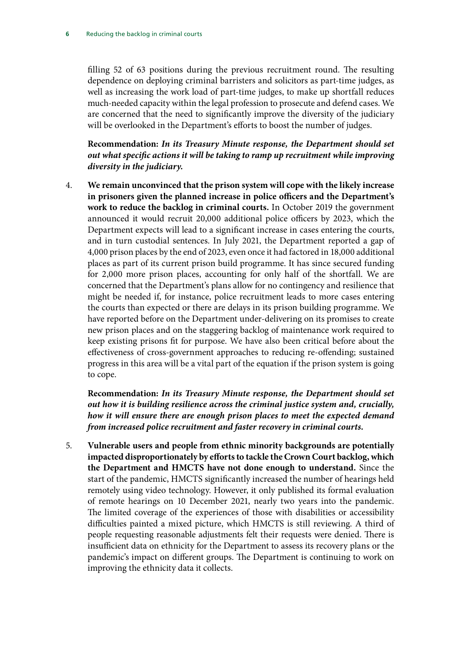filling 52 of 63 positions during the previous recruitment round. The resulting dependence on deploying criminal barristers and solicitors as part-time judges, as well as increasing the work load of part-time judges, to make up shortfall reduces much-needed capacity within the legal profession to prosecute and defend cases. We are concerned that the need to significantly improve the diversity of the judiciary will be overlooked in the Department's efforts to boost the number of judges.

**Recommendation:** *In its Treasury Minute response, the Department should set out what specific actions it will be taking to ramp up recruitment while improving diversity in the judiciary.*

4. **We remain unconvinced that the prison system will cope with the likely increase in prisoners given the planned increase in police officers and the Department's work to reduce the backlog in criminal courts.** In October 2019 the government announced it would recruit 20,000 additional police officers by 2023, which the Department expects will lead to a significant increase in cases entering the courts, and in turn custodial sentences. In July 2021, the Department reported a gap of 4,000 prison places by the end of 2023, even once it had factored in 18,000 additional places as part of its current prison build programme. It has since secured funding for 2,000 more prison places, accounting for only half of the shortfall. We are concerned that the Department's plans allow for no contingency and resilience that might be needed if, for instance, police recruitment leads to more cases entering the courts than expected or there are delays in its prison building programme. We have reported before on the Department under-delivering on its promises to create new prison places and on the staggering backlog of maintenance work required to keep existing prisons fit for purpose. We have also been critical before about the effectiveness of cross-government approaches to reducing re-offending; sustained progress in this area will be a vital part of the equation if the prison system is going to cope.

**Recommendation:** *In its Treasury Minute response, the Department should set out how it is building resilience across the criminal justice system and, crucially, how it will ensure there are enough prison places to meet the expected demand from increased police recruitment and faster recovery in criminal courts.*

5. **Vulnerable users and people from ethnic minority backgrounds are potentially impacted disproportionately by efforts to tackle the Crown Court backlog, which the Department and HMCTS have not done enough to understand.** Since the start of the pandemic, HMCTS significantly increased the number of hearings held remotely using video technology. However, it only published its formal evaluation of remote hearings on 10 December 2021, nearly two years into the pandemic. The limited coverage of the experiences of those with disabilities or accessibility difficulties painted a mixed picture, which HMCTS is still reviewing. A third of people requesting reasonable adjustments felt their requests were denied. There is insufficient data on ethnicity for the Department to assess its recovery plans or the pandemic's impact on different groups. The Department is continuing to work on improving the ethnicity data it collects.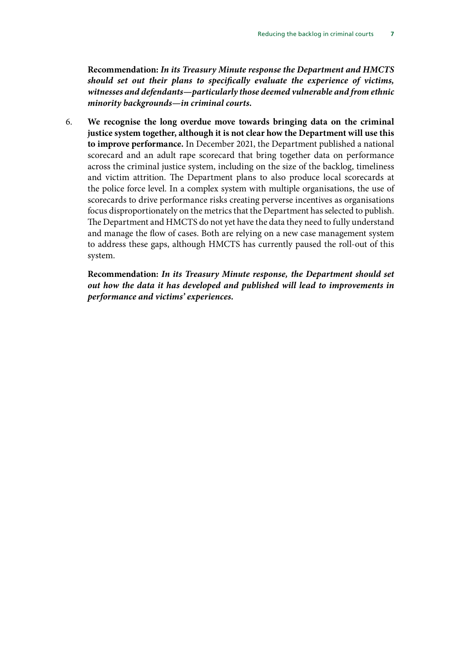**Recommendation:** *In its Treasury Minute response the Department and HMCTS should set out their plans to specifically evaluate the experience of victims, witnesses and defendants—particularly those deemed vulnerable and from ethnic minority backgrounds—in criminal courts.*

6. **We recognise the long overdue move towards bringing data on the criminal justice system together, although it is not clear how the Department will use this to improve performance.** In December 2021, the Department published a national scorecard and an adult rape scorecard that bring together data on performance across the criminal justice system, including on the size of the backlog, timeliness and victim attrition. The Department plans to also produce local scorecards at the police force level. In a complex system with multiple organisations, the use of scorecards to drive performance risks creating perverse incentives as organisations focus disproportionately on the metrics that the Department has selected to publish. The Department and HMCTS do not yet have the data they need to fully understand and manage the flow of cases. Both are relying on a new case management system to address these gaps, although HMCTS has currently paused the roll-out of this system.

**Recommendation:** *In its Treasury Minute response, the Department should set out how the data it has developed and published will lead to improvements in performance and victims' experiences.*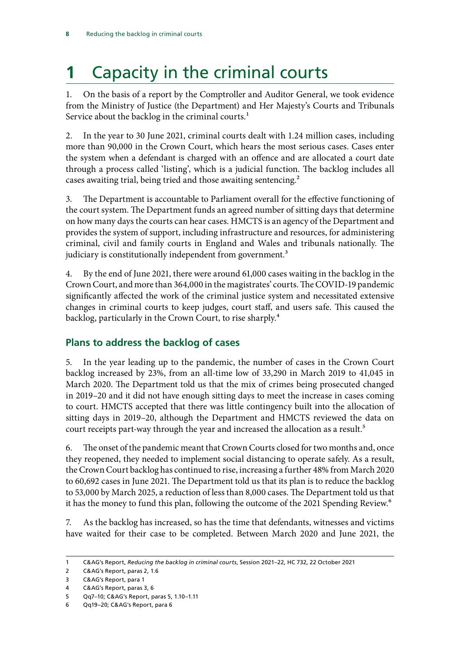## <span id="page-9-0"></span>**1** Capacity in the criminal courts

1. On the basis of a report by the Comptroller and Auditor General, we took evidence from the Ministry of Justice (the Department) and Her Majesty's Courts and Tribunals Service about the backlog in the criminal courts.<sup>1</sup>

2. In the year to 30 June 2021, criminal courts dealt with 1.24 million cases, including more than 90,000 in the Crown Court, which hears the most serious cases. Cases enter the system when a defendant is charged with an offence and are allocated a court date through a process called 'listing', which is a judicial function. The backlog includes all cases awaiting trial, being tried and those awaiting sentencing.<sup>2</sup>

3. The Department is accountable to Parliament overall for the effective functioning of the court system. The Department funds an agreed number of sitting days that determine on how many days the courts can hear cases. HMCTS is an agency of the Department and provides the system of support, including infrastructure and resources, for administering criminal, civil and family courts in England and Wales and tribunals nationally. The judiciary is constitutionally independent from government.<sup>3</sup>

4. By the end of June 2021, there were around 61,000 cases waiting in the backlog in the Crown Court, and more than 364,000 in the magistrates' courts. The COVID-19 pandemic significantly affected the work of the criminal justice system and necessitated extensive changes in criminal courts to keep judges, court staff, and users safe. This caused the backlog, particularly in the Crown Court, to rise sharply.4

### **Plans to address the backlog of cases**

5. In the year leading up to the pandemic, the number of cases in the Crown Court backlog increased by 23%, from an all-time low of 33,290 in March 2019 to 41,045 in March 2020. The Department told us that the mix of crimes being prosecuted changed in 2019–20 and it did not have enough sitting days to meet the increase in cases coming to court. HMCTS accepted that there was little contingency built into the allocation of sitting days in 2019–20, although the Department and HMCTS reviewed the data on court receipts part-way through the year and increased the allocation as a result.<sup>5</sup>

6. The onset of the pandemic meant that Crown Courts closed for two months and, once they reopened, they needed to implement social distancing to operate safely. As a result, the Crown Court backlog has continued to rise, increasing a further 48% from March 2020 to 60,692 cases in June 2021. The Department told us that its plan is to reduce the backlog to 53,000 by March 2025, a reduction of less than 8,000 cases. The Department told us that it has the money to fund this plan, following the outcome of the 2021 Spending Review.<sup>6</sup>

7. As the backlog has increased, so has the time that defendants, witnesses and victims have waited for their case to be completed. Between March 2020 and June 2021, the

<sup>1</sup> C&AG's Report, *Reducing the backlog in criminal courts*, Session 2021–22, HC 732, 22 October 2021

<sup>2</sup> C&AG's Report, paras 2, 1.6

<sup>3</sup> C&AG's Report, para 1

<sup>4</sup> C&AG's Report, paras 3, 6

<sup>5</sup> Qq7–10; C&AG's Report, paras 5, 1.10–1.11

<sup>6</sup> Qq19–20; C&AG's Report, para 6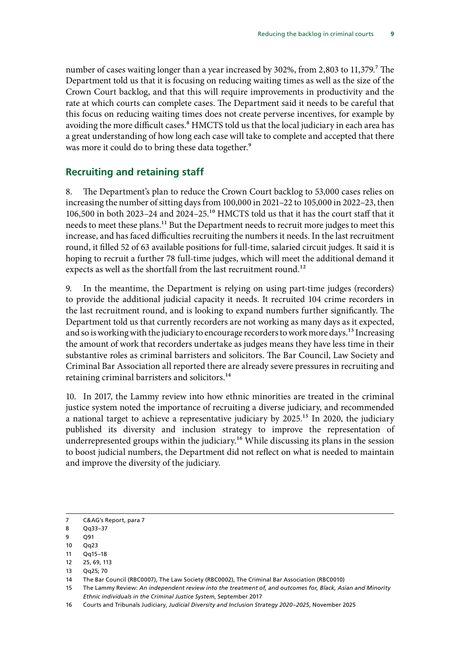<span id="page-10-0"></span>number of cases waiting longer than a year increased by 302%, from 2,803 to 11,379.<sup>7</sup> The Department told us that it is focusing on reducing waiting times as well as the size of the Crown Court backlog, and that this will require improvements in productivity and the rate at which courts can complete cases. The Department said it needs to be careful that this focus on reducing waiting times does not create perverse incentives, for example by avoiding the more difficult cases.<sup>8</sup> HMCTS told us that the local judiciary in each area has a great understanding of how long each case will take to complete and accepted that there was more it could do to bring these data together.<sup>9</sup>

### **Recruiting and retaining staff**

8. The Department's plan to reduce the Crown Court backlog to 53,000 cases relies on increasing the number of sitting days from 100,000 in 2021–22 to 105,000 in 2022–23, then 106,500 in both 2023–24 and 2024–25.10 HMCTS told us that it has the court staff that it needs to meet these plans.<sup>11</sup> But the Department needs to recruit more judges to meet this increase, and has faced difficulties recruiting the numbers it needs. In the last recruitment round, it filled 52 of 63 available positions for full-time, salaried circuit judges. It said it is hoping to recruit a further 78 full-time judges, which will meet the additional demand it expects as well as the shortfall from the last recruitment round.<sup>12</sup>

9. In the meantime, the Department is relying on using part-time judges (recorders) to provide the additional judicial capacity it needs. It recruited 104 crime recorders in the last recruitment round, and is looking to expand numbers further significantly. The Department told us that currently recorders are not working as many days as it expected, and so is working with the judiciary to encourage recorders to work more days.<sup>13</sup> Increasing the amount of work that recorders undertake as judges means they have less time in their substantive roles as criminal barristers and solicitors. The Bar Council, Law Society and Criminal Bar Association all reported there are already severe pressures in recruiting and retaining criminal barristers and solicitors.<sup>14</sup>

10. In 2017, the Lammy review into how ethnic minorities are treated in the criminal justice system noted the importance of recruiting a diverse judiciary, and recommended a national target to achieve a representative judiciary by 2025.15 In 2020, the judiciary published its diversity and inclusion strategy to improve the representation of underrepresented groups within the judiciary.<sup>16</sup> While discussing its plans in the session to boost judicial numbers, the Department did not reflect on what is needed to maintain and improve the diversity of the judiciary.

8 Oa33-37

- 10 Qq23
- 11  $Oq15-18$
- 12 25, 69, 113
- 13 Qq25; 70

<sup>7</sup> C&AG's Report, para 7

<sup>9</sup> Q91

<sup>14</sup> The Bar Council (RBC0007), The Law Society (RBC0002), The Criminal Bar Association (RBC0010)

<sup>15</sup> The Lammy Review: *An independent review into the treatment of, and outcomes for, Black, Asian and Minority Ethnic individuals in the Criminal Justice System*, September 2017

<sup>16</sup> Courts and Tribunals Judiciary, *Judicial Diversity and Inclusion Strategy 2020–2025*, November 2025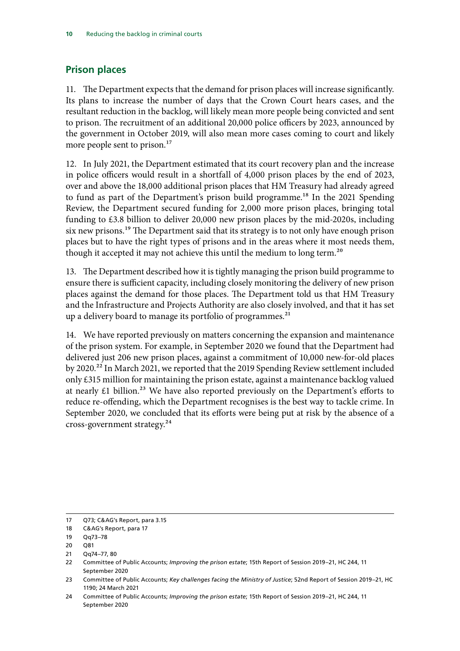### <span id="page-11-0"></span>**Prison places**

11. The Department expects that the demand for prison places will increase significantly. Its plans to increase the number of days that the Crown Court hears cases, and the resultant reduction in the backlog, will likely mean more people being convicted and sent to prison. The recruitment of an additional 20,000 police officers by 2023, announced by the government in October 2019, will also mean more cases coming to court and likely more people sent to prison.<sup>17</sup>

12. In July 2021, the Department estimated that its court recovery plan and the increase in police officers would result in a shortfall of 4,000 prison places by the end of 2023, over and above the 18,000 additional prison places that HM Treasury had already agreed to fund as part of the Department's prison build programme.<sup>18</sup> In the 2021 Spending Review, the Department secured funding for 2,000 more prison places, bringing total funding to £3.8 billion to deliver 20,000 new prison places by the mid-2020s, including six new prisons.<sup>19</sup> The Department said that its strategy is to not only have enough prison places but to have the right types of prisons and in the areas where it most needs them, though it accepted it may not achieve this until the medium to long term.<sup>20</sup>

13. The Department described how it is tightly managing the prison build programme to ensure there is sufficient capacity, including closely monitoring the delivery of new prison places against the demand for those places. The Department told us that HM Treasury and the Infrastructure and Projects Authority are also closely involved, and that it has set up a delivery board to manage its portfolio of programmes.<sup>21</sup>

14. We have reported previously on matters concerning the expansion and maintenance of the prison system. For example, in September 2020 we found that the Department had delivered just 206 new prison places, against a commitment of 10,000 new-for-old places by 2020.<sup>22</sup> In March 2021, we reported that the 2019 Spending Review settlement included only £315 million for maintaining the prison estate, against a maintenance backlog valued at nearly  $£1$  billion.<sup>23</sup> We have also reported previously on the Department's efforts to reduce re-offending, which the Department recognises is the best way to tackle crime. In September 2020, we concluded that its efforts were being put at risk by the absence of a cross-government strategy.24

<sup>17</sup> Q73; C&AG's Report, para 3.15

<sup>18</sup> C&AG's Report, para 17

<sup>19</sup> Qq73–78

<sup>20</sup> Q81

<sup>21 0</sup>q74–77, 80

<sup>22</sup> Committee of Public Accounts; *Improving the prison estate*; 15th Report of Session 2019–21, HC 244, 11 September 2020

<sup>23</sup> Committee of Public Accounts; *Key challenges facing the Ministry of Justice*; 52nd Report of Session 2019–21, HC 1190; 24 March 2021

<sup>24</sup> Committee of Public Accounts; *Improving the prison estate*; 15th Report of Session 2019–21, HC 244, 11 September 2020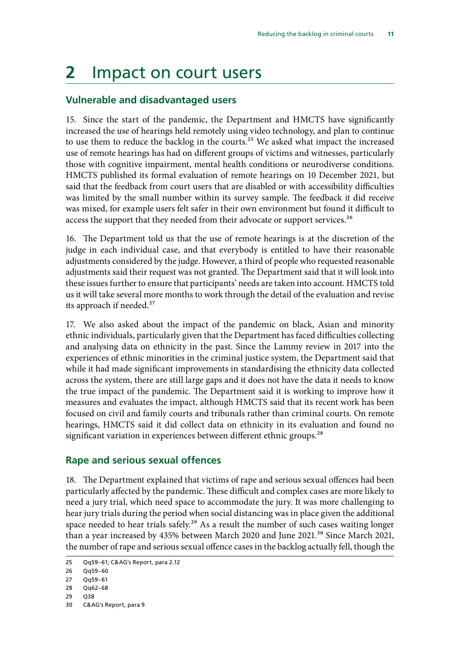## <span id="page-12-0"></span>**2** Impact on court users

#### **Vulnerable and disadvantaged users**

15. Since the start of the pandemic, the Department and HMCTS have significantly increased the use of hearings held remotely using video technology, and plan to continue to use them to reduce the backlog in the courts.<sup>25</sup> We asked what impact the increased use of remote hearings has had on different groups of victims and witnesses, particularly those with cognitive impairment, mental health conditions or neurodiverse conditions. HMCTS published its formal evaluation of remote hearings on 10 December 2021, but said that the feedback from court users that are disabled or with accessibility difficulties was limited by the small number within its survey sample. The feedback it did receive was mixed, for example users felt safer in their own environment but found it difficult to access the support that they needed from their advocate or support services.<sup>26</sup>

16. The Department told us that the use of remote hearings is at the discretion of the judge in each individual case, and that everybody is entitled to have their reasonable adjustments considered by the judge. However, a third of people who requested reasonable adjustments said their request was not granted. The Department said that it will look into these issues further to ensure that participants' needs are taken into account. HMCTS told us it will take several more months to work through the detail of the evaluation and revise its approach if needed.<sup>27</sup>

17. We also asked about the impact of the pandemic on black, Asian and minority ethnic individuals, particularly given that the Department has faced difficulties collecting and analysing data on ethnicity in the past. Since the Lammy review in 2017 into the experiences of ethnic minorities in the criminal justice system, the Department said that while it had made significant improvements in standardising the ethnicity data collected across the system, there are still large gaps and it does not have the data it needs to know the true impact of the pandemic. The Department said it is working to improve how it measures and evaluates the impact, although HMCTS said that its recent work has been focused on civil and family courts and tribunals rather than criminal courts. On remote hearings, HMCTS said it did collect data on ethnicity in its evaluation and found no significant variation in experiences between different ethnic groups.<sup>28</sup>

### **Rape and serious sexual offences**

18. The Department explained that victims of rape and serious sexual offences had been particularly affected by the pandemic. These difficult and complex cases are more likely to need a jury trial, which need space to accommodate the jury. It was more challenging to hear jury trials during the period when social distancing was in place given the additional space needed to hear trials safely.<sup>29</sup> As a result the number of such cases waiting longer than a year increased by 435% between March 2020 and June 2021.<sup>30</sup> Since March 2021, the number of rape and serious sexual offence cases in the backlog actually fell, though the

<sup>25</sup> Qq59–61; C&AG's Report, para 2.12

<sup>26</sup> Qq59–60

<sup>27</sup> Qq59–61

<sup>28</sup> Qq62–68

<sup>29</sup> Q38

<sup>30</sup> C&AG's Report, para 9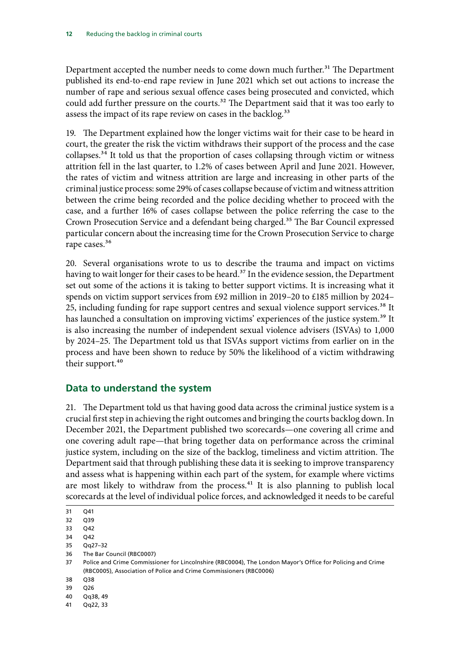<span id="page-13-0"></span>Department accepted the number needs to come down much further.<sup>31</sup> The Department published its end-to-end rape review in June 2021 which set out actions to increase the number of rape and serious sexual offence cases being prosecuted and convicted, which could add further pressure on the courts.<sup>32</sup> The Department said that it was too early to assess the impact of its rape review on cases in the backlog.<sup>33</sup>

19. The Department explained how the longer victims wait for their case to be heard in court, the greater the risk the victim withdraws their support of the process and the case collapses.<sup>34</sup> It told us that the proportion of cases collapsing through victim or witness attrition fell in the last quarter, to 1.2% of cases between April and June 2021. However, the rates of victim and witness attrition are large and increasing in other parts of the criminal justice process: some 29% of cases collapse because of victim and witness attrition between the crime being recorded and the police deciding whether to proceed with the case, and a further 16% of cases collapse between the police referring the case to the Crown Prosecution Service and a defendant being charged.35 The Bar Council expressed particular concern about the increasing time for the Crown Prosecution Service to charge rape cases.<sup>36</sup>

20. Several organisations wrote to us to describe the trauma and impact on victims having to wait longer for their cases to be heard.<sup>37</sup> In the evidence session, the Department set out some of the actions it is taking to better support victims. It is increasing what it spends on victim support services from £92 million in 2019–20 to £185 million by 2024– 25, including funding for rape support centres and sexual violence support services.<sup>38</sup> It has launched a consultation on improving victims' experiences of the justice system.<sup>39</sup> It is also increasing the number of independent sexual violence advisers (ISVAs) to 1,000 by 2024–25. The Department told us that ISVAs support victims from earlier on in the process and have been shown to reduce by 50% the likelihood of a victim withdrawing their support.<sup>40</sup>

### **Data to understand the system**

21. The Department told us that having good data across the criminal justice system is a crucial first step in achieving the right outcomes and bringing the courts backlog down. In December 2021, the Department published two scorecards—one covering all crime and one covering adult rape—that bring together data on performance across the criminal justice system, including on the size of the backlog, timeliness and victim attrition. The Department said that through publishing these data it is seeking to improve transparency and assess what is happening within each part of the system, for example where victims are most likely to withdraw from the process. $41$  It is also planning to publish local scorecards at the level of individual police forces, and acknowledged it needs to be careful

- 35 Qq27–32
- 36 The Bar Council (RBC0007)

- 38 Q38
- 39 Q26
- 40 Qq38, 49
- 41 Qq22, 33

<sup>31</sup> Q41

<sup>32</sup> Q39

<sup>33</sup> Q42

<sup>34</sup> Q42

<sup>37</sup> Police and Crime Commissioner for Lincolnshire (RBC0004), The London Mayor's Office for Policing and Crime (RBC0005), Association of Police and Crime Commissioners (RBC0006)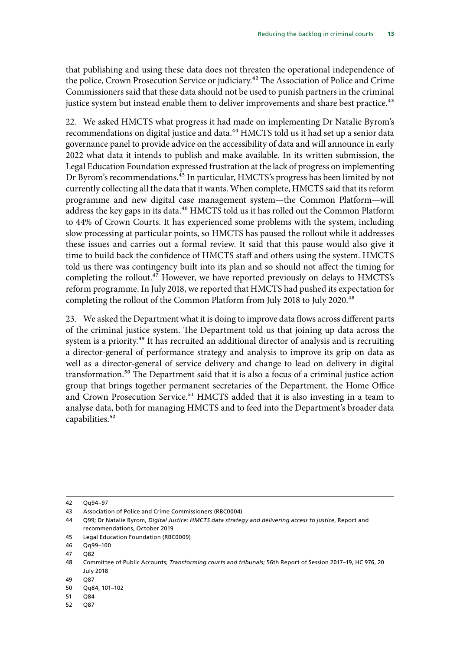that publishing and using these data does not threaten the operational independence of the police, Crown Prosecution Service or judiciary.<sup>42</sup> The Association of Police and Crime Commissioners said that these data should not be used to punish partners in the criminal justice system but instead enable them to deliver improvements and share best practice.<sup>43</sup>

22. We asked HMCTS what progress it had made on implementing Dr Natalie Byrom's recommendations on digital justice and data.<sup>44</sup> HMCTS told us it had set up a senior data governance panel to provide advice on the accessibility of data and will announce in early 2022 what data it intends to publish and make available. In its written submission, the Legal Education Foundation expressed frustration at the lack of progress on implementing Dr Byrom's recommendations.<sup>45</sup> In particular, HMCTS's progress has been limited by not currently collecting all the data that it wants. When complete, HMCTS said that its reform programme and new digital case management system—the Common Platform—will address the key gaps in its data.<sup>46</sup> HMCTS told us it has rolled out the Common Platform to 44% of Crown Courts. It has experienced some problems with the system, including slow processing at particular points, so HMCTS has paused the rollout while it addresses these issues and carries out a formal review. It said that this pause would also give it time to build back the confidence of HMCTS staff and others using the system. HMCTS told us there was contingency built into its plan and so should not affect the timing for completing the rollout.<sup>47</sup> However, we have reported previously on delays to HMCTS's reform programme. In July 2018, we reported that HMCTS had pushed its expectation for completing the rollout of the Common Platform from July 2018 to July 2020.<sup>48</sup>

23. We asked the Department what it is doing to improve data flows across different parts of the criminal justice system. The Department told us that joining up data across the system is a priority.<sup>49</sup> It has recruited an additional director of analysis and is recruiting a director-general of performance strategy and analysis to improve its grip on data as well as a director-general of service delivery and change to lead on delivery in digital transformation.50 The Department said that it is also a focus of a criminal justice action group that brings together permanent secretaries of the Department, the Home Office and Crown Prosecution Service.<sup>51</sup> HMCTS added that it is also investing in a team to analyse data, both for managing HMCTS and to feed into the Department's broader data capabilities.<sup>52</sup>

<sup>42</sup> Qq94–97

<sup>43</sup> Association of Police and Crime Commissioners (RBC0004)

<sup>44</sup> Q99; Dr Natalie Byrom, *Digital Justice: HMCTS data strategy and delivering access to justice*, Report and recommendations, October 2019

<sup>45</sup> Legal Education Foundation (RBC0009)

<sup>46</sup> Qq99–100

<sup>47 082</sup> 

<sup>48</sup> Committee of Public Accounts; *Transforming courts and tribunals*; 56th Report of Session 2017–19, HC 976, 20 July 2018

<sup>49</sup> Q87

<sup>50</sup> Qq84, 101–102

<sup>51</sup> Q84

<sup>52</sup> Q87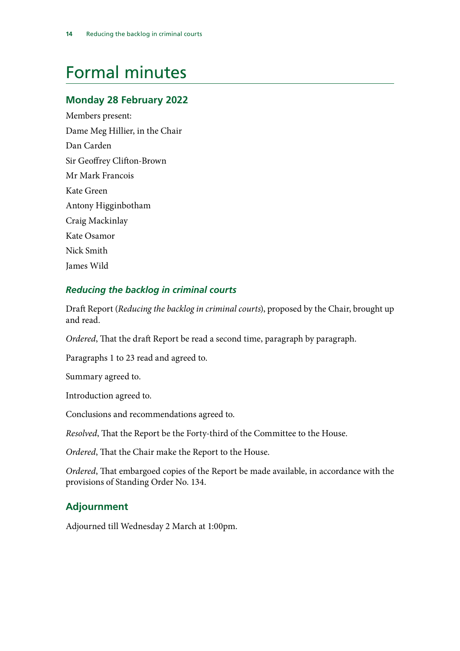## <span id="page-15-0"></span>Formal minutes

### **Monday 28 February 2022**

Members present: Dame Meg Hillier, in the Chair Dan Carden Sir Geoffrey Clifton-Brown Mr Mark Francois Kate Green Antony Higginbotham Craig Mackinlay Kate Osamor Nick Smith James Wild

### *Reducing the backlog in criminal courts*

Draft Report (*Reducing the backlog in criminal courts*), proposed by the Chair, brought up and read.

*Ordered*, That the draft Report be read a second time, paragraph by paragraph.

Paragraphs 1 to 23 read and agreed to.

Summary agreed to.

Introduction agreed to.

Conclusions and recommendations agreed to.

*Resolved*, That the Report be the Forty-third of the Committee to the House.

*Ordered*, That the Chair make the Report to the House.

*Ordered*, That embargoed copies of the Report be made available, in accordance with the provisions of Standing Order No. 134.

### **Adjournment**

Adjourned till Wednesday 2 March at 1:00pm.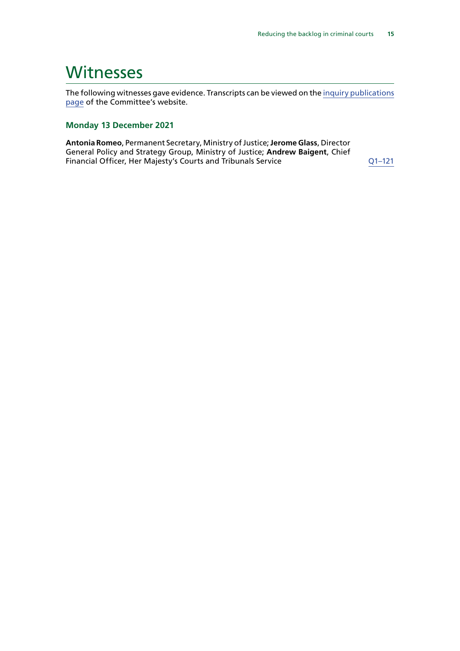### <span id="page-16-0"></span>**Witnesses**

The following witnesses gave evidence. Transcripts can be viewed on the [inquiry publications](https://committees.parliament.uk/work/1521/default/publications/oral-evidence/) [page](https://committees.parliament.uk/work/1521/default/publications/oral-evidence/) of the Committee's website.

#### **Monday 13 December 2021**

**Antonia Romeo**, Permanent Secretary, Ministry of Justice; **Jerome Glass**, Director General Policy and Strategy Group, Ministry of Justice; **Andrew Baigent**, Chief Financial Officer, Her Majesty's Courts and Tribunals Service  $Q1-121$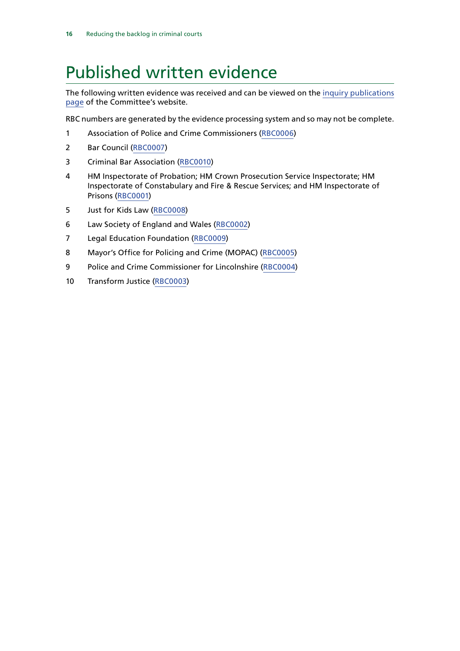## <span id="page-17-0"></span>Published written evidence

The following written evidence was received and can be viewed on the [inquiry publications](https://committees.parliament.uk/work/1521/default/publications/written-evidence/) [page](https://committees.parliament.uk/work/1521/default/publications/written-evidence/) of the Committee's website.

RBC numbers are generated by the evidence processing system and so may not be complete.

- Association of Police and Crime Commissioners ([RBC0006](https://committees.parliament.uk/writtenevidence/41366/html/))
- Bar Council [\(RBC0007](https://committees.parliament.uk/writtenevidence/41381/html/))
- Criminal Bar Association ([RBC0010](https://committees.parliament.uk/writtenevidence/41490/html/))
- HM Inspectorate of Probation; HM Crown Prosecution Service Inspectorate; HM Inspectorate of Constabulary and Fire & Rescue Services; and HM Inspectorate of Prisons [\(RBC0001](https://committees.parliament.uk/writtenevidence/40061/html/))
- Just for Kids Law ([RBC0008](https://committees.parliament.uk/writtenevidence/41432/html/))
- Law Society of England and Wales ([RBC0002\)](https://committees.parliament.uk/writtenevidence/40596/html/)
- Legal Education Foundation [\(RBC0009](https://committees.parliament.uk/writtenevidence/41476/html/))
- Mayor's Office for Policing and Crime (MOPAC) ([RBC0005](https://committees.parliament.uk/writtenevidence/41365/html/))
- Police and Crime Commissioner for Lincolnshire ([RBC0004](https://committees.parliament.uk/writtenevidence/41358/html/))
- Transform Justice [\(RBC0003\)](https://committees.parliament.uk/writtenevidence/41108/html/)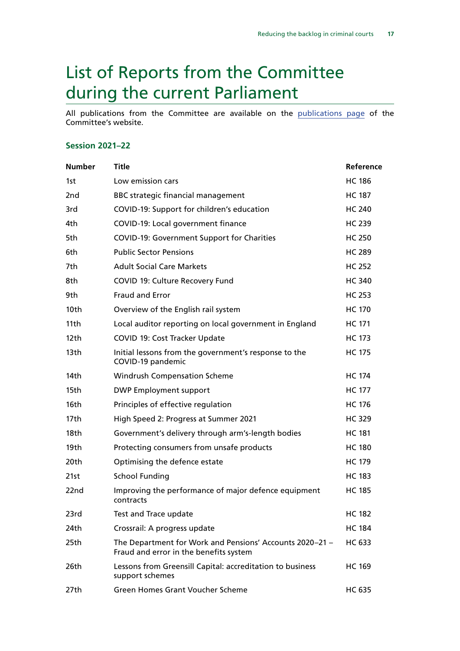## <span id="page-18-0"></span>List of Reports from the Committee during the current Parliament

All publications from the Committee are available on the [publications page](https://committees.parliament.uk/committee/127/public-accounts-committee/publications/) of the Committee's website.

#### **Session 2021–22**

| <b>Number</b>   | <b>Title</b>                                                                                       | Reference     |
|-----------------|----------------------------------------------------------------------------------------------------|---------------|
| 1st             | Low emission cars                                                                                  | <b>HC 186</b> |
| 2 <sub>nd</sub> | <b>BBC strategic financial management</b>                                                          | <b>HC 187</b> |
| 3rd             | COVID-19: Support for children's education                                                         | <b>HC 240</b> |
| 4th             | COVID-19: Local government finance                                                                 | <b>HC 239</b> |
| 5th             | <b>COVID-19: Government Support for Charities</b>                                                  | <b>HC 250</b> |
| 6th             | <b>Public Sector Pensions</b>                                                                      | <b>HC 289</b> |
| 7th             | <b>Adult Social Care Markets</b>                                                                   | <b>HC 252</b> |
| 8th             | COVID 19: Culture Recovery Fund                                                                    | <b>HC 340</b> |
| 9th             | <b>Fraud and Error</b>                                                                             | <b>HC 253</b> |
| 10th            | Overview of the English rail system                                                                | <b>HC 170</b> |
| 11th            | Local auditor reporting on local government in England                                             | <b>HC 171</b> |
| 12th            | COVID 19: Cost Tracker Update                                                                      | <b>HC 173</b> |
| 13th            | Initial lessons from the government's response to the<br>COVID-19 pandemic                         | <b>HC 175</b> |
| 14th            | <b>Windrush Compensation Scheme</b>                                                                | <b>HC 174</b> |
| 15th            | <b>DWP Employment support</b>                                                                      | <b>HC 177</b> |
| 16th            | Principles of effective regulation                                                                 | <b>HC 176</b> |
| 17th            | High Speed 2: Progress at Summer 2021                                                              | <b>HC 329</b> |
| 18th            | Government's delivery through arm's-length bodies                                                  | <b>HC 181</b> |
| 19th            | Protecting consumers from unsafe products                                                          | <b>HC 180</b> |
| 20th            | Optimising the defence estate                                                                      | <b>HC 179</b> |
| 21st            | <b>School Funding</b>                                                                              | <b>HC 183</b> |
| 22nd            | Improving the performance of major defence equipment<br>contracts                                  | <b>HC 185</b> |
| 23rd            | Test and Trace update                                                                              | <b>HC 182</b> |
| 24th            | Crossrail: A progress update                                                                       | <b>HC 184</b> |
| 25th            | The Department for Work and Pensions' Accounts 2020-21 -<br>Fraud and error in the benefits system | HC 633        |
| 26th            | Lessons from Greensill Capital: accreditation to business<br>support schemes                       | <b>HC 169</b> |
| 27th            | <b>Green Homes Grant Voucher Scheme</b>                                                            | HC 635        |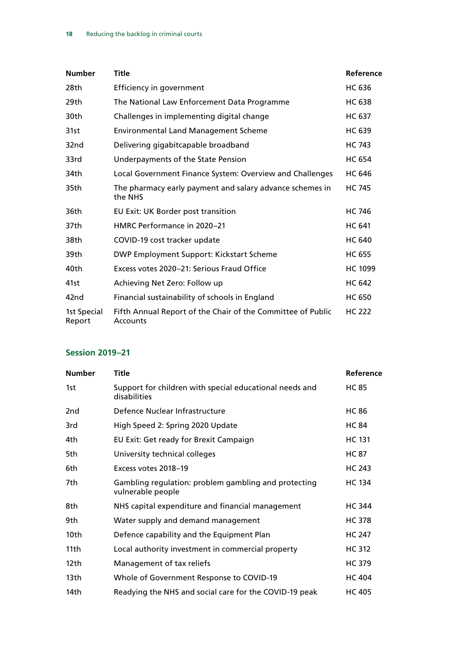| <b>Number</b>         | Title                                                                   | Reference      |
|-----------------------|-------------------------------------------------------------------------|----------------|
| 28th                  | Efficiency in government                                                | <b>HC 636</b>  |
| 29th                  | The National Law Enforcement Data Programme                             | <b>HC 638</b>  |
| 30th                  | Challenges in implementing digital change                               | <b>HC 637</b>  |
| 31st                  | <b>Environmental Land Management Scheme</b>                             | <b>HC 639</b>  |
| 32nd                  | Delivering gigabitcapable broadband                                     | <b>HC 743</b>  |
| 33rd                  | Underpayments of the State Pension                                      | <b>HC 654</b>  |
| 34th                  | Local Government Finance System: Overview and Challenges                | <b>HC 646</b>  |
| 35th                  | The pharmacy early payment and salary advance schemes in<br>the NHS     | <b>HC 745</b>  |
| 36th                  | EU Exit: UK Border post transition                                      | <b>HC 746</b>  |
| 37th                  | HMRC Performance in 2020-21                                             | <b>HC 641</b>  |
| 38th                  | COVID-19 cost tracker update                                            | <b>HC 640</b>  |
| 39th                  | DWP Employment Support: Kickstart Scheme                                | <b>HC 655</b>  |
| 40th                  | Excess votes 2020–21: Serious Fraud Office                              | <b>HC 1099</b> |
| 41st                  | Achieving Net Zero: Follow up                                           | <b>HC 642</b>  |
| 42 <sub>nd</sub>      | Financial sustainability of schools in England                          | <b>HC 650</b>  |
| 1st Special<br>Report | Fifth Annual Report of the Chair of the Committee of Public<br>Accounts | <b>HC 222</b>  |

### **Session 2019–21**

| <b>Number</b> | <b>Title</b>                                                              | Reference     |
|---------------|---------------------------------------------------------------------------|---------------|
| 1st           | Support for children with special educational needs and<br>disabilities   | <b>HC 85</b>  |
| 2nd           | Defence Nuclear Infrastructure                                            | <b>HC 86</b>  |
| 3rd           | High Speed 2: Spring 2020 Update                                          | <b>HC 84</b>  |
| 4th           | EU Exit: Get ready for Brexit Campaign                                    | <b>HC 131</b> |
| 5th           | University technical colleges                                             | <b>HC 87</b>  |
| 6th           | Excess votes 2018-19                                                      | <b>HC 243</b> |
| 7th           | Gambling regulation: problem gambling and protecting<br>vulnerable people | <b>HC 134</b> |
| 8th           | NHS capital expenditure and financial management                          | <b>HC 344</b> |
| 9th.          | Water supply and demand management                                        | <b>HC 378</b> |
| 10th          | Defence capability and the Equipment Plan                                 | <b>HC 247</b> |
| 11th          | Local authority investment in commercial property                         | <b>HC 312</b> |
| 12th          | Management of tax reliefs                                                 | <b>HC 379</b> |
| 13th          | Whole of Government Response to COVID-19                                  | <b>HC 404</b> |
| 14th          | Readying the NHS and social care for the COVID-19 peak                    | <b>HC 405</b> |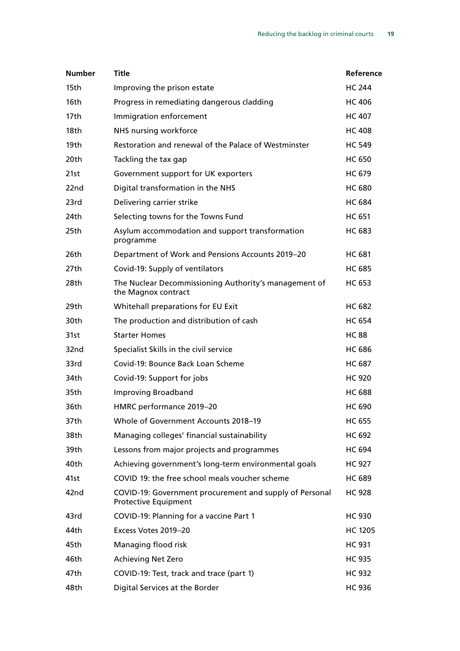| <b>Number</b>    | <b>Title</b>                                                                           | Reference      |
|------------------|----------------------------------------------------------------------------------------|----------------|
| 15th             | Improving the prison estate                                                            | <b>HC 244</b>  |
| 16th             | Progress in remediating dangerous cladding                                             | <b>HC 406</b>  |
| 17th             | Immigration enforcement                                                                | <b>HC 407</b>  |
| 18th             | NHS nursing workforce                                                                  | <b>HC 408</b>  |
| 19 <sub>th</sub> | Restoration and renewal of the Palace of Westminster                                   | <b>HC 549</b>  |
| 20 <sub>th</sub> | Tackling the tax gap                                                                   | <b>HC 650</b>  |
| 21st             | Government support for UK exporters                                                    | <b>HC 679</b>  |
| 22nd             | Digital transformation in the NHS                                                      | <b>HC 680</b>  |
| 23rd             | Delivering carrier strike                                                              | <b>HC 684</b>  |
| 24th             | Selecting towns for the Towns Fund                                                     | <b>HC 651</b>  |
| 25th             | Asylum accommodation and support transformation<br>programme                           | <b>HC 683</b>  |
| 26th             | Department of Work and Pensions Accounts 2019-20                                       | <b>HC 681</b>  |
| 27th             | Covid-19: Supply of ventilators                                                        | <b>HC 685</b>  |
| 28th             | The Nuclear Decommissioning Authority's management of<br>the Magnox contract           | <b>HC 653</b>  |
| 29th             | Whitehall preparations for EU Exit                                                     | <b>HC 682</b>  |
| 30th             | The production and distribution of cash                                                | <b>HC 654</b>  |
| 31st             | <b>Starter Homes</b>                                                                   | <b>HC 88</b>   |
| 32nd             | Specialist Skills in the civil service                                                 | <b>HC 686</b>  |
| 33rd             | Covid-19: Bounce Back Loan Scheme                                                      | <b>HC 687</b>  |
| 34th             | Covid-19: Support for jobs                                                             | <b>HC 920</b>  |
| 35th             | <b>Improving Broadband</b>                                                             | <b>HC 688</b>  |
| 36th             | HMRC performance 2019-20                                                               | <b>HC 690</b>  |
| 37th             | Whole of Government Accounts 2018-19                                                   | <b>HC 655</b>  |
| 38th             | Managing colleges' financial sustainability                                            | HC 692         |
| 39th             | Lessons from major projects and programmes                                             | <b>HC 694</b>  |
| 40th             | Achieving government's long-term environmental goals                                   | <b>HC 927</b>  |
| 41st             | COVID 19: the free school meals voucher scheme                                         | <b>HC 689</b>  |
| 42nd             | COVID-19: Government procurement and supply of Personal<br><b>Protective Equipment</b> | <b>HC 928</b>  |
| 43rd             | COVID-19: Planning for a vaccine Part 1                                                | <b>HC 930</b>  |
| 44th             | Excess Votes 2019-20                                                                   | <b>HC 1205</b> |
| 45th             | Managing flood risk                                                                    | <b>HC 931</b>  |
| 46th             | <b>Achieving Net Zero</b>                                                              | <b>HC 935</b>  |
| 47th             | COVID-19: Test, track and trace (part 1)                                               | <b>HC 932</b>  |
| 48th             | Digital Services at the Border                                                         | <b>HC 936</b>  |